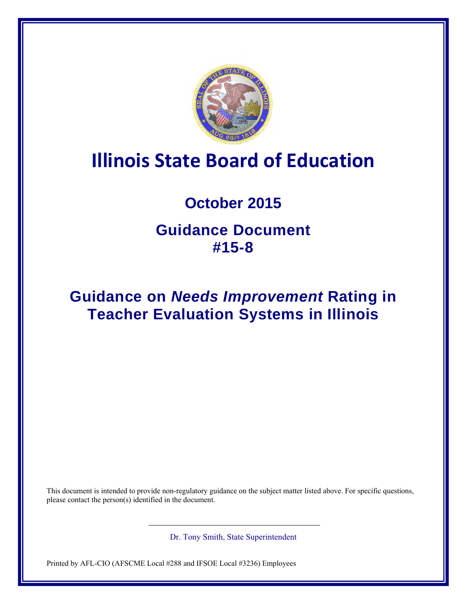

# **Illinois State Board of Education**

# **October 2015**

# **Guidance Document #15-8**

# **Guidance on** *Needs Improvement* **Rating in Teacher Evaluation Systems in Illinois**

This document is intended to provide non-regulatory guidance on the subject matter listed above. For specific questions, please contact the person(s) identified in the document.

Dr. Tony Smith, State Superintendent

Printed by AFL-CIO (AFSCME Local #288 and IFSOE Local #3236) Employees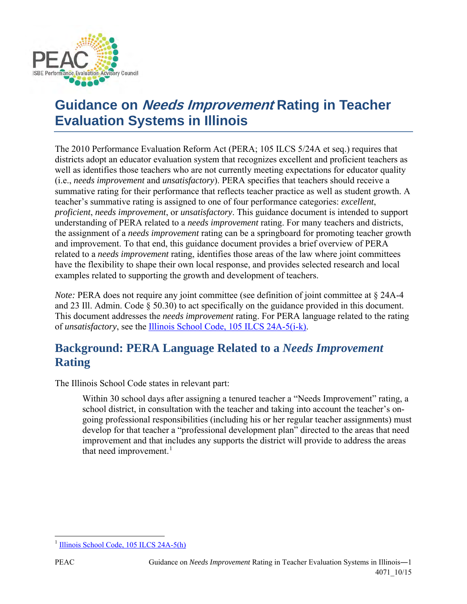

# **Guidance on Needs Improvement Rating in Teacher Evaluation Systems in Illinois**

The 2010 Performance Evaluation Reform Act (PERA; 105 ILCS 5/24A et seq.) requires that districts adopt an educator evaluation system that recognizes excellent and proficient teachers as well as identifies those teachers who are not currently meeting expectations for educator quality (i.e., *needs improvement* and *unsatisfactory*). PERA specifies that teachers should receive a summative rating for their performance that reflects teacher practice as well as student growth. A teacher's summative rating is assigned to one of four performance categories: *excellent*, *proficient*, *needs improvement*, or *unsatisfactory*. This guidance document is intended to support understanding of PERA related to a *needs improvement* rating. For many teachers and districts, the assignment of a *needs improvement* rating can be a springboard for promoting teacher growth and improvement. To that end, this guidance document provides a brief overview of PERA related to a *needs improvement* rating, identifies those areas of the law where joint committees have the flexibility to shape their own local response, and provides selected research and local examples related to supporting the growth and development of teachers.

*Note:* PERA does not require any joint committee (see definition of joint committee at § 24A-4 and 23 Ill. Admin. Code § 50.30) to act specifically on the guidance provided in this document. This document addresses the *needs improvement* rating. For PERA language related to the rating of *unsatisfactory*, see the [Illinois School Code, 105 ILCS 24A-5\(i-k\).](http://www.ilga.gov/legislation/ilcs/fulltext.asp?DocName=010500050K24A-5)

## **Background: PERA Language Related to a** *Needs Improvement* **Rating**

The Illinois School Code states in relevant part:

Within 30 school days after assigning a tenured teacher a "Needs Improvement" rating, a school district, in consultation with the teacher and taking into account the teacher's ongoing professional responsibilities (including his or her regular teacher assignments) must develop for that teacher a "professional development plan" directed to the areas that need improvement and that includes any supports the district will provide to address the areas that need improvement. $<sup>1</sup>$  $<sup>1</sup>$  $<sup>1</sup>$ </sup>

 $\overline{\phantom{a}}$ 

<span id="page-1-0"></span><sup>&</sup>lt;sup>1</sup> [Illinois School Code, 105 ILCS 24A-5\(h\)](http://www.ilga.gov/legislation/ilcs/fulltext.asp?DocName=010500050K24A-5&_sm_au_=iVVfnNT21M637H3V)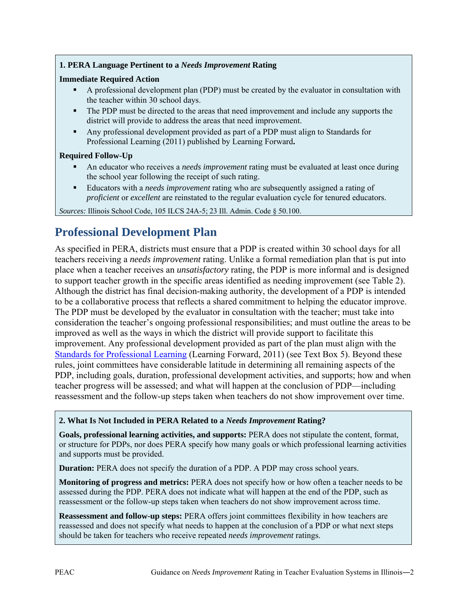### **1. PERA Language Pertinent to a** *Needs Improvement* **Rating**

#### **Immediate Required Action**

- A professional development plan (PDP) must be created by the evaluator in consultation with the teacher within 30 school days.
- The PDP must be directed to the areas that need improvement and include any supports the district will provide to address the areas that need improvement.
- Any professional development provided as part of a PDP must align to Standards for Professional Learning (2011) published by Learning Forward**.**

#### **Required Follow-Up**

- An educator who receives a *needs improvement* rating must be evaluated at least once during the school year following the receipt of such rating.
- Educators with a *needs improvement* rating who are subsequently assigned a rating of *proficient* or *excellent* are reinstated to the regular evaluation cycle for tenured educators.

*Sources:* Illinois School Code, 105 ILCS 24A-5; 23 Ill. Admin. Code § 50.100.

# **Professional Development Plan**

As specified in PERA, districts must ensure that a PDP is created within 30 school days for all teachers receiving a *needs improvement* rating. Unlike a formal remediation plan that is put into place when a teacher receives an *unsatisfactory* rating, the PDP is more informal and is designed to support teacher growth in the specific areas identified as needing improvement (see Table 2). Although the district has final decision-making authority, the development of a PDP is intended to be a collaborative process that reflects a shared commitment to helping the educator improve. The PDP must be developed by the evaluator in consultation with the teacher; must take into consideration the teacher's ongoing professional responsibilities; and must outline the areas to be improved as well as the ways in which the district will provide support to facilitate this improvement. Any professional development provided as part of the plan must align with the [Standards for Professional Learning](http://learningforward.org/docs/august-2011/referenceguide324.pdf?sfvrsn=2) (Learning Forward, 2011) (see Text Box 5). Beyond these rules, joint committees have considerable latitude in determining all remaining aspects of the PDP, including goals, duration, professional development activities, and supports; how and when teacher progress will be assessed; and what will happen at the conclusion of PDP—including reassessment and the follow-up steps taken when teachers do not show improvement over time.

#### **2. What Is Not Included in PERA Related to a** *Needs Improvement* **Rating?**

**Goals, professional learning activities, and supports:** PERA does not stipulate the content, format, or structure for PDPs, nor does PERA specify how many goals or which professional learning activities and supports must be provided.

**Duration:** PERA does not specify the duration of a PDP. A PDP may cross school years.

**Monitoring of progress and metrics:** PERA does not specify how or how often a teacher needs to be assessed during the PDP. PERA does not indicate what will happen at the end of the PDP, such as reassessment or the follow-up steps taken when teachers do not show improvement across time.

**Reassessment and follow-up steps:** PERA offers joint committees flexibility in how teachers are reassessed and does not specify what needs to happen at the conclusion of a PDP or what next steps should be taken for teachers who receive repeated *needs improvement* ratings.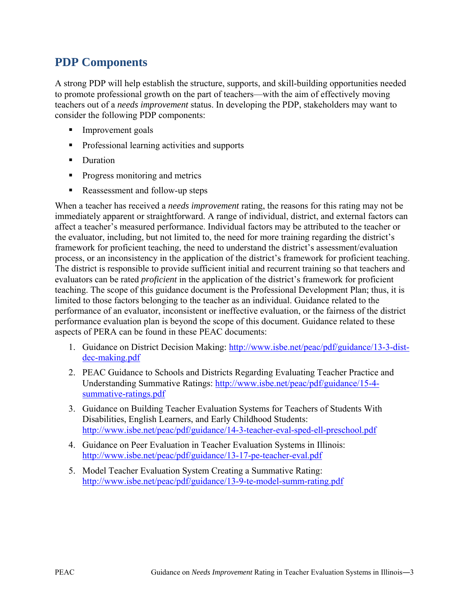## **PDP Components**

A strong PDP will help establish the structure, supports, and skill-building opportunities needed to promote professional growth on the part of teachers—with the aim of effectively moving teachers out of a *needs improvement* status. In developing the PDP, stakeholders may want to consider the following PDP components:

- Improvement goals
- **Professional learning activities and supports**
- Duration
- **Progress monitoring and metrics**
- Reassessment and follow-up steps

When a teacher has received a *needs improvement* rating, the reasons for this rating may not be immediately apparent or straightforward. A range of individual, district, and external factors can affect a teacher's measured performance. Individual factors may be attributed to the teacher or the evaluator, including, but not limited to, the need for more training regarding the district's framework for proficient teaching, the need to understand the district's assessment/evaluation process, or an inconsistency in the application of the district's framework for proficient teaching. The district is responsible to provide sufficient initial and recurrent training so that teachers and evaluators can be rated *proficient* in the application of the district's framework for proficient teaching. The scope of this guidance document is the Professional Development Plan; thus, it is limited to those factors belonging to the teacher as an individual. Guidance related to the performance of an evaluator, inconsistent or ineffective evaluation, or the fairness of the district performance evaluation plan is beyond the scope of this document. Guidance related to these aspects of PERA can be found in these PEAC documents:

- 1. Guidance on District Decision Making: [http://www.isbe.net/peac/pdf/guidance/13-3-dist](http://www.isbe.net/peac/pdf/guidance/13-3-dist-dec-making.pdf)[dec-making.pdf](http://www.isbe.net/peac/pdf/guidance/13-3-dist-dec-making.pdf)
- 2. PEAC Guidance to Schools and Districts Regarding Evaluating Teacher Practice and Understanding Summative Ratings: [http://www.isbe.net/peac/pdf/guidance/15-4](http://www.isbe.net/peac/pdf/guidance/15-4-summative-ratings.pdf) [summative-ratings.pdf](http://www.isbe.net/peac/pdf/guidance/15-4-summative-ratings.pdf)
- 3. Guidance on Building Teacher Evaluation Systems for Teachers of Students With Disabilities, English Learners, and Early Childhood Students: <http://www.isbe.net/peac/pdf/guidance/14-3-teacher-eval-sped-ell-preschool.pdf>
- 4. Guidance on Peer Evaluation in Teacher Evaluation Systems in Illinois: <http://www.isbe.net/peac/pdf/guidance/13-17-pe-teacher-eval.pdf>
- 5. Model Teacher Evaluation System Creating a Summative Rating: <http://www.isbe.net/peac/pdf/guidance/13-9-te-model-summ-rating.pdf>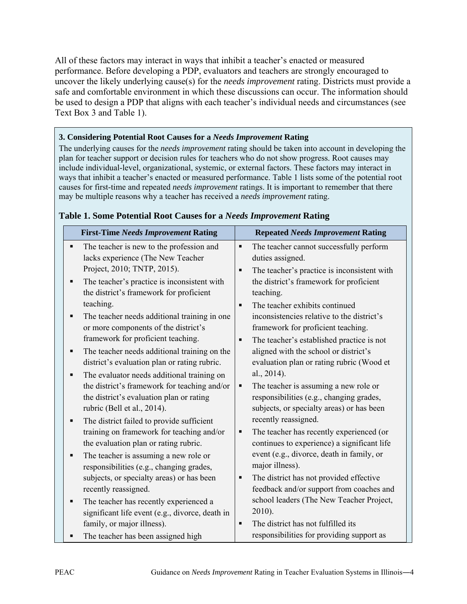All of these factors may interact in ways that inhibit a teacher's enacted or measured performance. Before developing a PDP, evaluators and teachers are strongly encouraged to uncover the likely underlying cause(s) for the *needs improvement* rating. Districts must provide a safe and comfortable environment in which these discussions can occur. The information should be used to design a PDP that aligns with each teacher's individual needs and circumstances (see Text Box 3 and Table 1).

### **3. Considering Potential Root Causes for a** *Needs Improvement* **Rating**

The underlying causes for the *needs improvement* rating should be taken into account in developing the plan for teacher support or decision rules for teachers who do not show progress. Root causes may include individual-level, organizational, systemic, or external factors. These factors may interact in ways that inhibit a teacher's enacted or measured performance. Table 1 lists some of the potential root causes for first-time and repeated *needs improvement* ratings. It is important to remember that there may be multiple reasons why a teacher has received a *needs improvement* rating.

| <b>First-Time Needs Improvement Rating</b>                                                        | <b>Repeated Needs Improvement Rating</b>                                              |  |
|---------------------------------------------------------------------------------------------------|---------------------------------------------------------------------------------------|--|
| The teacher is new to the profession and<br>п<br>lacks experience (The New Teacher                | The teacher cannot successfully perform<br>٠<br>duties assigned.                      |  |
| Project, 2010; TNTP, 2015).                                                                       | The teacher's practice is inconsistent with<br>п                                      |  |
| The teacher's practice is inconsistent with<br>٠<br>the district's framework for proficient       | the district's framework for proficient<br>teaching.                                  |  |
| teaching.                                                                                         | The teacher exhibits continued<br>$\blacksquare$                                      |  |
| The teacher needs additional training in one<br>٠<br>or more components of the district's         | inconsistencies relative to the district's<br>framework for proficient teaching.      |  |
| framework for proficient teaching.                                                                | The teacher's established practice is not<br>$\blacksquare$                           |  |
| The teacher needs additional training on the<br>٠<br>district's evaluation plan or rating rubric. | aligned with the school or district's<br>evaluation plan or rating rubric (Wood et    |  |
| The evaluator needs additional training on<br>٠                                                   | al., 2014).                                                                           |  |
| the district's framework for teaching and/or                                                      | The teacher is assuming a new role or<br>٠                                            |  |
| the district's evaluation plan or rating<br>rubric (Bell et al., 2014).                           | responsibilities (e.g., changing grades,<br>subjects, or specialty areas) or has been |  |
| The district failed to provide sufficient<br>п                                                    | recently reassigned.                                                                  |  |
| training on framework for teaching and/or                                                         | The teacher has recently experienced (or<br>п                                         |  |
| the evaluation plan or rating rubric.                                                             | continues to experience) a significant life                                           |  |
| The teacher is assuming a new role or<br>п<br>responsibilities (e.g., changing grades,            | event (e.g., divorce, death in family, or<br>major illness).                          |  |
| subjects, or specialty areas) or has been                                                         | The district has not provided effective                                               |  |
| recently reassigned.                                                                              | feedback and/or support from coaches and                                              |  |
| The teacher has recently experienced a<br>٠                                                       | school leaders (The New Teacher Project,                                              |  |
| significant life event (e.g., divorce, death in                                                   | 2010).                                                                                |  |
| family, or major illness).                                                                        | The district has not fulfilled its<br>$\blacksquare$                                  |  |
| The teacher has been assigned high                                                                | responsibilities for providing support as                                             |  |

### **Table 1. Some Potential Root Causes for a** *Needs Improvement* **Rating**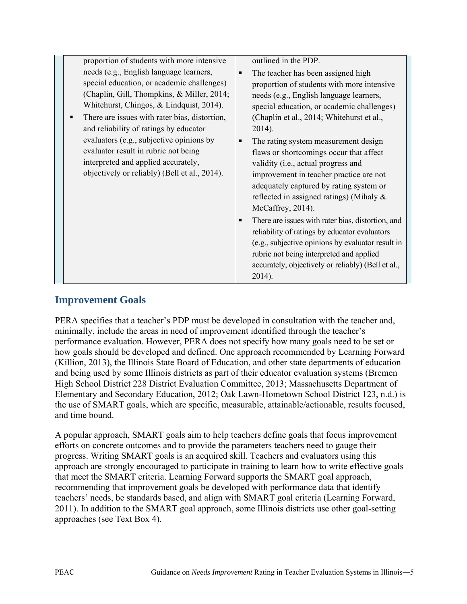## **Improvement Goals**

PERA specifies that a teacher's PDP must be developed in consultation with the teacher and, minimally, include the areas in need of improvement identified through the teacher's performance evaluation. However, PERA does not specify how many goals need to be set or how goals should be developed and defined. One approach recommended by Learning Forward (Killion, 2013), the Illinois State Board of Education, and other state departments of education and being used by some Illinois districts as part of their educator evaluation systems (Bremen High School District 228 District Evaluation Committee, 2013; Massachusetts Department of Elementary and Secondary Education, 2012; Oak Lawn-Hometown School District 123, n.d.) is the use of SMART goals, which are specific, measurable, attainable/actionable, results focused, and time bound.

A popular approach, SMART goals aim to help teachers define goals that focus improvement efforts on concrete outcomes and to provide the parameters teachers need to gauge their progress. Writing SMART goals is an acquired skill. Teachers and evaluators using this approach are strongly encouraged to participate in training to learn how to write effective goals that meet the SMART criteria. Learning Forward supports the SMART goal approach, recommending that improvement goals be developed with performance data that identify teachers' needs, be standards based, and align with SMART goal criteria (Learning Forward, 2011). In addition to the SMART goal approach, some Illinois districts use other goal-setting approaches (see Text Box 4).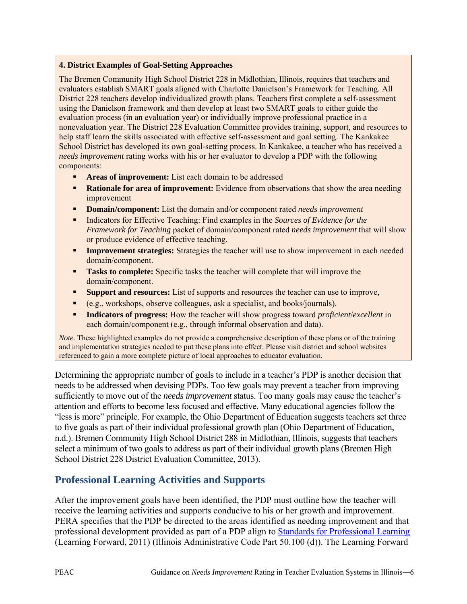#### **4. District Examples of Goal-Setting Approaches**

The Bremen Community High School District 228 in Midlothian, Illinois, requires that teachers and evaluators establish SMART goals aligned with Charlotte Danielson's Framework for Teaching. All District 228 teachers develop individualized growth plans. Teachers first complete a self-assessment using the Danielson framework and then develop at least two SMART goals to either guide the evaluation process (in an evaluation year) or individually improve professional practice in a nonevaluation year. The District 228 Evaluation Committee provides training, support, and resources to help staff learn the skills associated with effective self-assessment and goal setting. The Kankakee School District has developed its own goal-setting process. In Kankakee, a teacher who has received a *needs improvement* rating works with his or her evaluator to develop a PDP with the following components:

- **Areas of improvement:** List each domain to be addressed
- **Rationale for area of improvement:** Evidence from observations that show the area needing improvement
- **Domain/component:** List the domain and/or component rated *needs improvement*
- Indicators for Effective Teaching: Find examples in the *Sources of Evidence for the Framework for Teaching* packet of domain/component rated *needs improvement* that will show or produce evidence of effective teaching.
- **Improvement strategies:** Strategies the teacher will use to show improvement in each needed domain/component.
- **Tasks to complete:** Specific tasks the teacher will complete that will improve the domain/component.
- **Support and resources:** List of supports and resources the teacher can use to improve,
- (e.g., workshops, observe colleagues, ask a specialist, and books/journals).
- **Indicators of progress:** How the teacher will show progress toward *proficient*/*excellent* in each domain/component (e.g., through informal observation and data).

*Note.* These highlighted examples do not provide a comprehensive description of these plans or of the training and implementation strategies needed to put these plans into effect. Please visit district and school websites referenced to gain a more complete picture of local approaches to educator evaluation.

Determining the appropriate number of goals to include in a teacher's PDP is another decision that needs to be addressed when devising PDPs. Too few goals may prevent a teacher from improving sufficiently to move out of the *needs improvement* status. Too many goals may cause the teacher's attention and efforts to become less focused and effective. Many educational agencies follow the "less is more" principle. For example, the Ohio Department of Education suggests teachers set three to five goals as part of their individual professional growth plan (Ohio Department of Education, n.d.). Bremen Community High School District 288 in Midlothian, Illinois, suggests that teachers select a minimum of two goals to address as part of their individual growth plans (Bremen High School District 228 District Evaluation Committee, 2013).

## **Professional Learning Activities and Supports**

After the improvement goals have been identified, the PDP must outline how the teacher will receive the learning activities and supports conducive to his or her growth and improvement. PERA specifies that the PDP be directed to the areas identified as needing improvement and that professional development provided as part of a PDP align to [Standards for Professional Learning](http://learningforward.org/docs/august-2011/referenceguide324.pdf?sfvrsn=2) (Learning Forward, 2011) (Illinois Administrative Code Part 50.100 (d)). The Learning Forward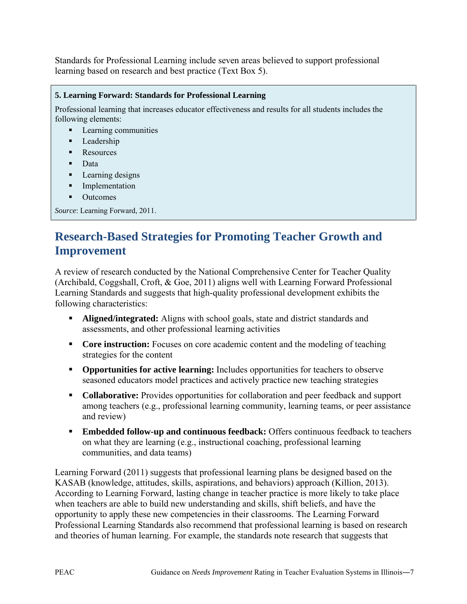Standards for Professional Learning include seven areas believed to support professional learning based on research and best practice (Text Box 5).

```
5. Learning Forward: Standards for Professional Learning
Professional learning that increases educator effectiveness and results for all students includes the 
following elements:
   Learning communities
   • Leadership
   • Resources
   Data
   Learning designs
   Implementation
   • Outcomes
Source: Learning Forward, 2011.
```
## **Research-Based Strategies for Promoting Teacher Growth and Improvement**

A review of research conducted by the National Comprehensive Center for Teacher Quality (Archibald, Coggshall, Croft, & Goe, 2011) aligns well with Learning Forward Professional Learning Standards and suggests that high-quality professional development exhibits the following characteristics:

- **Aligned/integrated:** Aligns with school goals, state and district standards and assessments, and other professional learning activities
- **Core instruction:** Focuses on core academic content and the modeling of teaching strategies for the content
- **Opportunities for active learning:** Includes opportunities for teachers to observe seasoned educators model practices and actively practice new teaching strategies
- **Collaborative:** Provides opportunities for collaboration and peer feedback and support among teachers (e.g., professional learning community, learning teams, or peer assistance and review)
- **Embedded follow-up and continuous feedback:** Offers continuous feedback to teachers on what they are learning (e.g., instructional coaching, professional learning communities, and data teams)

Learning Forward (2011) suggests that professional learning plans be designed based on the KASAB (knowledge, attitudes, skills, aspirations, and behaviors) approach (Killion, 2013). According to Learning Forward, lasting change in teacher practice is more likely to take place when teachers are able to build new understanding and skills, shift beliefs, and have the opportunity to apply these new competencies in their classrooms. The Learning Forward Professional Learning Standards also recommend that professional learning is based on research and theories of human learning. For example, the standards note research that suggests that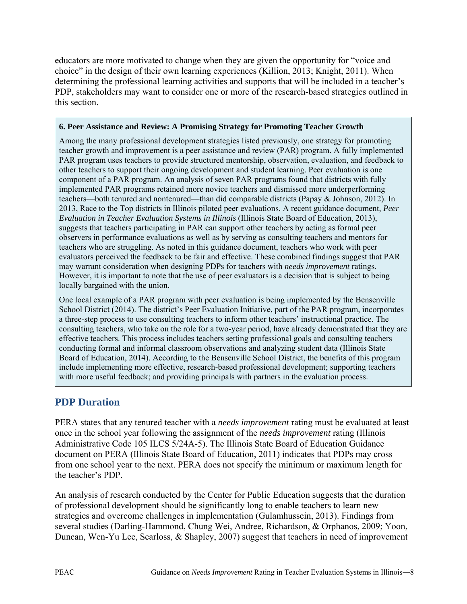educators are more motivated to change when they are given the opportunity for "voice and choice" in the design of their own learning experiences (Killion, 2013; Knight, 2011). When determining the professional learning activities and supports that will be included in a teacher's PDP, stakeholders may want to consider one or more of the research-based strategies outlined in this section.

#### **6. Peer Assistance and Review: A Promising Strategy for Promoting Teacher Growth**

Among the many professional development strategies listed previously, one strategy for promoting teacher growth and improvement is a peer assistance and review (PAR) program. A fully implemented PAR program uses teachers to provide structured mentorship, observation, evaluation, and feedback to other teachers to support their ongoing development and student learning. Peer evaluation is one component of a PAR program. An analysis of seven PAR programs found that districts with fully implemented PAR programs retained more novice teachers and dismissed more underperforming teachers—both tenured and nontenured—than did comparable districts (Papay & Johnson, 2012). In 2013, Race to the Top districts in Illinois piloted peer evaluations. A recent guidance document, *Peer Evaluation in Teacher Evaluation Systems in Illinois* (Illinois State Board of Education, 2013), suggests that teachers participating in PAR can support other teachers by acting as formal peer observers in performance evaluations as well as by serving as consulting teachers and mentors for teachers who are struggling. As noted in this guidance document, teachers who work with peer evaluators perceived the feedback to be fair and effective. These combined findings suggest that PAR may warrant consideration when designing PDPs for teachers with *needs improvement* ratings. However, it is important to note that the use of peer evaluators is a decision that is subject to being locally bargained with the union.

One local example of a PAR program with peer evaluation is being implemented by the Bensenville School District (2014). The district's Peer Evaluation Initiative, part of the PAR program, incorporates a three-step process to use consulting teachers to inform other teachers' instructional practice. The consulting teachers, who take on the role for a two-year period, have already demonstrated that they are effective teachers. This process includes teachers setting professional goals and consulting teachers conducting formal and informal classroom observations and analyzing student data (Illinois State Board of Education, 2014). According to the Bensenville School District, the benefits of this program include implementing more effective, research-based professional development; supporting teachers with more useful feedback; and providing principals with partners in the evaluation process.

## **PDP Duration**

PERA states that any tenured teacher with a *needs improvement* rating must be evaluated at least once in the school year following the assignment of the *needs improvement* rating (Illinois Administrative Code 105 ILCS 5/24A-5). The Illinois State Board of Education Guidance document on PERA (Illinois State Board of Education, 2011) indicates that PDPs may cross from one school year to the next. PERA does not specify the minimum or maximum length for the teacher's PDP.

An analysis of research conducted by the Center for Public Education suggests that the duration of professional development should be significantly long to enable teachers to learn new strategies and overcome challenges in implementation (Gulamhussein, 2013). Findings from several studies (Darling-Hammond, Chung Wei, Andree, Richardson, & Orphanos, 2009; Yoon, Duncan, Wen-Yu Lee, Scarloss, & Shapley, 2007) suggest that teachers in need of improvement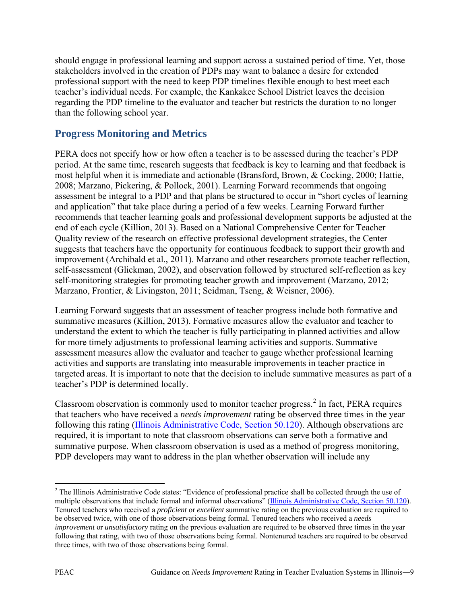should engage in professional learning and support across a sustained period of time. Yet, those stakeholders involved in the creation of PDPs may want to balance a desire for extended professional support with the need to keep PDP timelines flexible enough to best meet each teacher's individual needs. For example, the Kankakee School District leaves the decision regarding the PDP timeline to the evaluator and teacher but restricts the duration to no longer than the following school year.

## **Progress Monitoring and Metrics**

PERA does not specify how or how often a teacher is to be assessed during the teacher's PDP period. At the same time, research suggests that feedback is key to learning and that feedback is most helpful when it is immediate and actionable (Bransford, Brown, & Cocking, 2000; Hattie, 2008; Marzano, Pickering, & Pollock, 2001). Learning Forward recommends that ongoing assessment be integral to a PDP and that plans be structured to occur in "short cycles of learning and application" that take place during a period of a few weeks. Learning Forward further recommends that teacher learning goals and professional development supports be adjusted at the end of each cycle (Killion, 2013). Based on a National Comprehensive Center for Teacher Quality review of the research on effective professional development strategies, the Center suggests that teachers have the opportunity for continuous feedback to support their growth and improvement (Archibald et al., 2011). Marzano and other researchers promote teacher reflection, self-assessment (Glickman, 2002), and observation followed by structured self-reflection as key self-monitoring strategies for promoting teacher growth and improvement (Marzano, 2012; Marzano, Frontier, & Livingston, 2011; Seidman, Tseng, & Weisner, 2006).

Learning Forward suggests that an assessment of teacher progress include both formative and summative measures (Killion, 2013). Formative measures allow the evaluator and teacher to understand the extent to which the teacher is fully participating in planned activities and allow for more timely adjustments to professional learning activities and supports. Summative assessment measures allow the evaluator and teacher to gauge whether professional learning activities and supports are translating into measurable improvements in teacher practice in targeted areas. It is important to note that the decision to include summative measures as part of a teacher's PDP is determined locally.

Classroom observation is commonly used to monitor teacher progress.<sup>[2](#page-9-0)</sup> In fact, PERA requires that teachers who have received a *needs improvement* rating be observed three times in the year following this rating [\(Illinois Administrative Code, Section 50.120\)](http://www.isbe.net/rules/archive/pdfs/50ARK.pdf). Although observations are required, it is important to note that classroom observations can serve both a formative and summative purpose. When classroom observation is used as a method of progress monitoring, PDP developers may want to address in the plan whether observation will include any

 $\overline{\phantom{a}}$ 

<span id="page-9-0"></span><sup>&</sup>lt;sup>2</sup> The Illinois Administrative Code states: "Evidence of professional practice shall be collected through the use of multiple observations that include formal and informal observations" [\(Illinois Administrative Code, Section 50.120\)](http://www.isbe.net/rules/archive/pdfs/50ARK.pdf). Tenured teachers who received a *proficient* or *excellent* summative rating on the previous evaluation are required to be observed twice, with one of those observations being formal. Tenured teachers who received a *needs improvement* or *unsatisfactory* rating on the previous evaluation are required to be observed three times in the year following that rating, with two of those observations being formal. Nontenured teachers are required to be observed three times, with two of those observations being formal.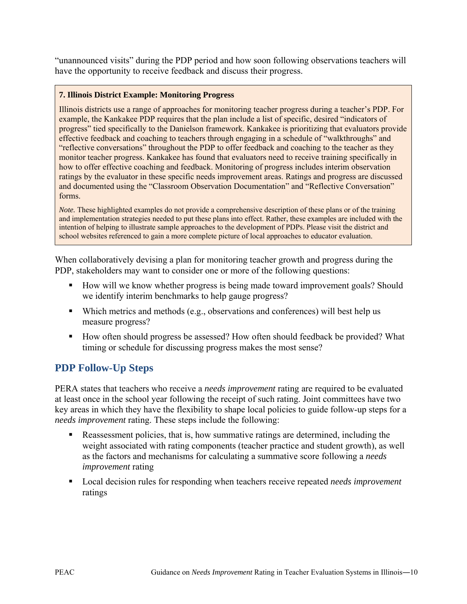"unannounced visits" during the PDP period and how soon following observations teachers will have the opportunity to receive feedback and discuss their progress.

### **7. Illinois District Example: Monitoring Progress**

Illinois districts use a range of approaches for monitoring teacher progress during a teacher's PDP. For example, the Kankakee PDP requires that the plan include a list of specific, desired "indicators of progress" tied specifically to the Danielson framework. Kankakee is prioritizing that evaluators provide effective feedback and coaching to teachers through engaging in a schedule of "walkthroughs" and "reflective conversations" throughout the PDP to offer feedback and coaching to the teacher as they monitor teacher progress. Kankakee has found that evaluators need to receive training specifically in how to offer effective coaching and feedback. Monitoring of progress includes interim observation ratings by the evaluator in these specific needs improvement areas. Ratings and progress are discussed and documented using the "Classroom Observation Documentation" and "Reflective Conversation" forms.

*Note.* These highlighted examples do not provide a comprehensive description of these plans or of the training and implementation strategies needed to put these plans into effect. Rather, these examples are included with the intention of helping to illustrate sample approaches to the development of PDPs. Please visit the district and school websites referenced to gain a more complete picture of local approaches to educator evaluation.

When collaboratively devising a plan for monitoring teacher growth and progress during the PDP, stakeholders may want to consider one or more of the following questions:

- How will we know whether progress is being made toward improvement goals? Should we identify interim benchmarks to help gauge progress?
- Which metrics and methods (e.g., observations and conferences) will best help us measure progress?
- How often should progress be assessed? How often should feedback be provided? What timing or schedule for discussing progress makes the most sense?

## **PDP Follow-Up Steps**

PERA states that teachers who receive a *needs improvement* rating are required to be evaluated at least once in the school year following the receipt of such rating. Joint committees have two key areas in which they have the flexibility to shape local policies to guide follow-up steps for a *needs improvement* rating. These steps include the following:

- Reassessment policies, that is, how summative ratings are determined, including the weight associated with rating components (teacher practice and student growth), as well as the factors and mechanisms for calculating a summative score following a *needs improvement* rating
- Local decision rules for responding when teachers receive repeated *needs improvement* ratings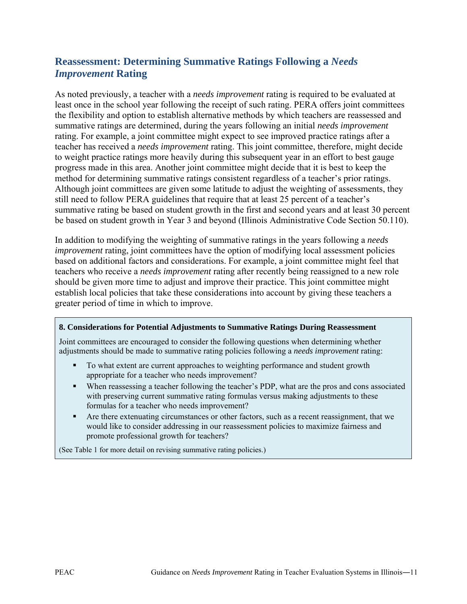## **Reassessment: Determining Summative Ratings Following a** *Needs Improvement* **Rating**

As noted previously, a teacher with a *needs improvement* rating is required to be evaluated at least once in the school year following the receipt of such rating. PERA offers joint committees the flexibility and option to establish alternative methods by which teachers are reassessed and summative ratings are determined, during the years following an initial *needs improvement*  rating. For example, a joint committee might expect to see improved practice ratings after a teacher has received a *needs improvement* rating. This joint committee, therefore, might decide to weight practice ratings more heavily during this subsequent year in an effort to best gauge progress made in this area. Another joint committee might decide that it is best to keep the method for determining summative ratings consistent regardless of a teacher's prior ratings. Although joint committees are given some latitude to adjust the weighting of assessments, they still need to follow PERA guidelines that require that at least 25 percent of a teacher's summative rating be based on student growth in the first and second years and at least 30 percent be based on student growth in Year 3 and beyond (Illinois Administrative Code Section 50.110).

In addition to modifying the weighting of summative ratings in the years following a *needs improvement* rating, joint committees have the option of modifying local assessment policies based on additional factors and considerations. For example, a joint committee might feel that teachers who receive a *needs improvement* rating after recently being reassigned to a new role should be given more time to adjust and improve their practice. This joint committee might establish local policies that take these considerations into account by giving these teachers a greater period of time in which to improve.

#### **8. Considerations for Potential Adjustments to Summative Ratings During Reassessment**

Joint committees are encouraged to consider the following questions when determining whether adjustments should be made to summative rating policies following a *needs improvement* rating:

- To what extent are current approaches to weighting performance and student growth appropriate for a teacher who needs improvement?
- When reassessing a teacher following the teacher's PDP, what are the pros and cons associated with preserving current summative rating formulas versus making adjustments to these formulas for a teacher who needs improvement?
- Are there extenuating circumstances or other factors, such as a recent reassignment, that we would like to consider addressing in our reassessment policies to maximize fairness and promote professional growth for teachers?

(See Table 1 for more detail on revising summative rating policies.)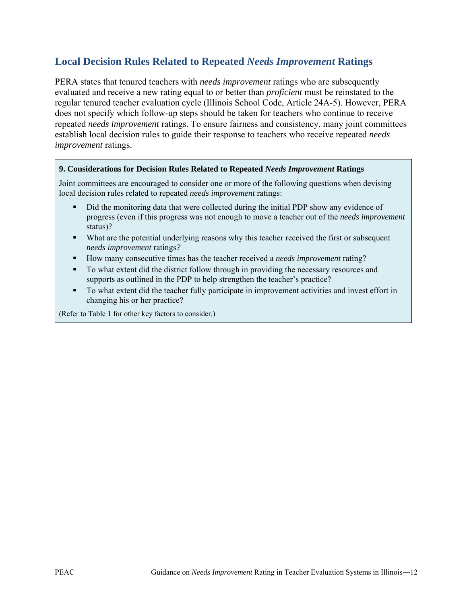## **Local Decision Rules Related to Repeated** *Needs Improvement* **Ratings**

PERA states that tenured teachers with *needs improvement* ratings who are subsequently evaluated and receive a new rating equal to or better than *proficient* must be reinstated to the regular tenured teacher evaluation cycle (Illinois School Code, Article 24A-5). However, PERA does not specify which follow-up steps should be taken for teachers who continue to receive repeated *needs improvement* ratings. To ensure fairness and consistency, many joint committees establish local decision rules to guide their response to teachers who receive repeated *needs improvement* ratings.

#### **9. Considerations for Decision Rules Related to Repeated** *Needs Improvement* **Ratings**

Joint committees are encouraged to consider one or more of the following questions when devising local decision rules related to repeated *needs improvement* ratings:

- Did the monitoring data that were collected during the initial PDP show any evidence of progress (even if this progress was not enough to move a teacher out of the *needs improvement* status)?
- What are the potential underlying reasons why this teacher received the first or subsequent *needs improvement* ratings*?*
- How many consecutive times has the teacher received a *needs improvement* rating?
- To what extent did the district follow through in providing the necessary resources and supports as outlined in the PDP to help strengthen the teacher's practice?
- To what extent did the teacher fully participate in improvement activities and invest effort in changing his or her practice?

(Refer to Table 1 for other key factors to consider.)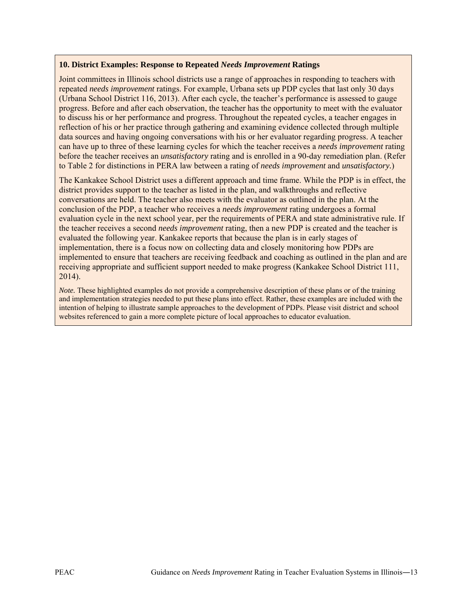#### **10. District Examples: Response to Repeated** *Needs Improvement* **Ratings**

Joint committees in Illinois school districts use a range of approaches in responding to teachers with repeated *needs improvement* ratings. For example, Urbana sets up PDP cycles that last only 30 days (Urbana School District 116, 2013). After each cycle, the teacher's performance is assessed to gauge progress. Before and after each observation, the teacher has the opportunity to meet with the evaluator to discuss his or her performance and progress. Throughout the repeated cycles, a teacher engages in reflection of his or her practice through gathering and examining evidence collected through multiple data sources and having ongoing conversations with his or her evaluator regarding progress. A teacher can have up to three of these learning cycles for which the teacher receives a *needs improvement* rating before the teacher receives an *unsatisfactory* rating and is enrolled in a 90-day remediation plan. (Refer to Table 2 for distinctions in PERA law between a rating of *needs improvement* and *unsatisfactory.*)

The Kankakee School District uses a different approach and time frame. While the PDP is in effect, the district provides support to the teacher as listed in the plan, and walkthroughs and reflective conversations are held. The teacher also meets with the evaluator as outlined in the plan. At the conclusion of the PDP, a teacher who receives a *needs improvement* rating undergoes a formal evaluation cycle in the next school year, per the requirements of PERA and state administrative rule. If the teacher receives a second *needs improvement* rating, then a new PDP is created and the teacher is evaluated the following year. Kankakee reports that because the plan is in early stages of implementation, there is a focus now on collecting data and closely monitoring how PDPs are implemented to ensure that teachers are receiving feedback and coaching as outlined in the plan and are receiving appropriate and sufficient support needed to make progress (Kankakee School District 111, 2014).

*Note.* These highlighted examples do not provide a comprehensive description of these plans or of the training and implementation strategies needed to put these plans into effect. Rather, these examples are included with the intention of helping to illustrate sample approaches to the development of PDPs. Please visit district and school websites referenced to gain a more complete picture of local approaches to educator evaluation.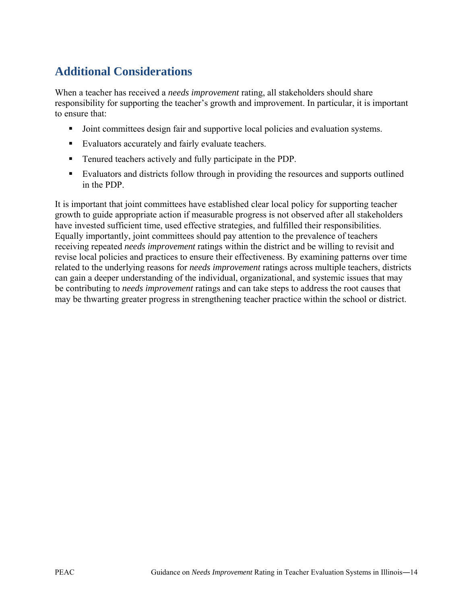# **Additional Considerations**

When a teacher has received a *needs improvement* rating, all stakeholders should share responsibility for supporting the teacher's growth and improvement. In particular, it is important to ensure that:

- Joint committees design fair and supportive local policies and evaluation systems.
- Evaluators accurately and fairly evaluate teachers.
- Tenured teachers actively and fully participate in the PDP.
- Evaluators and districts follow through in providing the resources and supports outlined in the PDP.

It is important that joint committees have established clear local policy for supporting teacher growth to guide appropriate action if measurable progress is not observed after all stakeholders have invested sufficient time, used effective strategies, and fulfilled their responsibilities. Equally importantly, joint committees should pay attention to the prevalence of teachers receiving repeated *needs improvement* ratings within the district and be willing to revisit and revise local policies and practices to ensure their effectiveness. By examining patterns over time related to the underlying reasons for *needs improvement* ratings across multiple teachers, districts can gain a deeper understanding of the individual, organizational, and systemic issues that may be contributing to *needs improvement* ratings and can take steps to address the root causes that may be thwarting greater progress in strengthening teacher practice within the school or district.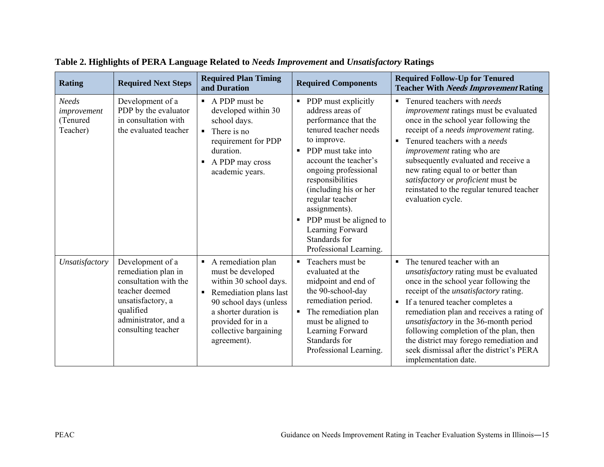| <b>Rating</b>                                       | <b>Required Next Steps</b>                                                                                                                                         | <b>Required Plan Timing</b><br>and Duration                                                                                                                                                                   | <b>Required Components</b>                                                                                                                                                                                                                                                                                                                                                        | <b>Required Follow-Up for Tenured</b><br><b>Teacher With Needs Improvement Rating</b>                                                                                                                                                                                                                                                                                                                                                                                                         |
|-----------------------------------------------------|--------------------------------------------------------------------------------------------------------------------------------------------------------------------|---------------------------------------------------------------------------------------------------------------------------------------------------------------------------------------------------------------|-----------------------------------------------------------------------------------------------------------------------------------------------------------------------------------------------------------------------------------------------------------------------------------------------------------------------------------------------------------------------------------|-----------------------------------------------------------------------------------------------------------------------------------------------------------------------------------------------------------------------------------------------------------------------------------------------------------------------------------------------------------------------------------------------------------------------------------------------------------------------------------------------|
| <b>Needs</b><br>improvement<br>(Tenured<br>Teacher) | Development of a<br>PDP by the evaluator<br>in consultation with<br>the evaluated teacher                                                                          | $\blacksquare$ A PDP must be<br>developed within 30<br>school days.<br>There is no<br>$\blacksquare$<br>requirement for PDP<br>duration.<br>A PDP may cross<br>academic years.                                | • PDP must explicitly<br>address areas of<br>performance that the<br>tenured teacher needs<br>to improve.<br>PDP must take into<br>٠<br>account the teacher's<br>ongoing professional<br>responsibilities<br>(including his or her<br>regular teacher<br>assignments).<br>PDP must be aligned to<br>$\blacksquare$<br>Learning Forward<br>Standards for<br>Professional Learning. | $\blacksquare$ Tenured teachers with <i>needs</i><br>improvement ratings must be evaluated<br>once in the school year following the<br>receipt of a needs improvement rating.<br>Tenured teachers with a needs<br>$\blacksquare$<br><i>improvement</i> rating who are<br>subsequently evaluated and receive a<br>new rating equal to or better than<br>satisfactory or proficient must be<br>reinstated to the regular tenured teacher<br>evaluation cycle.                                   |
| Unsatisfactory                                      | Development of a<br>remediation plan in<br>consultation with the<br>teacher deemed<br>unsatisfactory, a<br>qualified<br>administrator, and a<br>consulting teacher | • A remediation plan<br>must be developed<br>within 30 school days.<br>Remediation plans last<br>90 school days (unless<br>a shorter duration is<br>provided for in a<br>collective bargaining<br>agreement). | • Teachers must be<br>evaluated at the<br>midpoint and end of<br>the 90-school-day<br>remediation period.<br>The remediation plan<br>must be aligned to<br>Learning Forward<br>Standards for<br>Professional Learning.                                                                                                                                                            | The tenured teacher with an<br>$\blacksquare$<br><i>unsatisfactory</i> rating must be evaluated<br>once in the school year following the<br>receipt of the <i>unsatisfactory</i> rating.<br>If a tenured teacher completes a<br>$\blacksquare$<br>remediation plan and receives a rating of<br>unsatisfactory in the 36-month period<br>following completion of the plan, then<br>the district may forego remediation and<br>seek dismissal after the district's PERA<br>implementation date. |

**Table 2. Highlights of PERA Language Related to** *Needs Improvement* **and** *Unsatisfactory* **Ratings**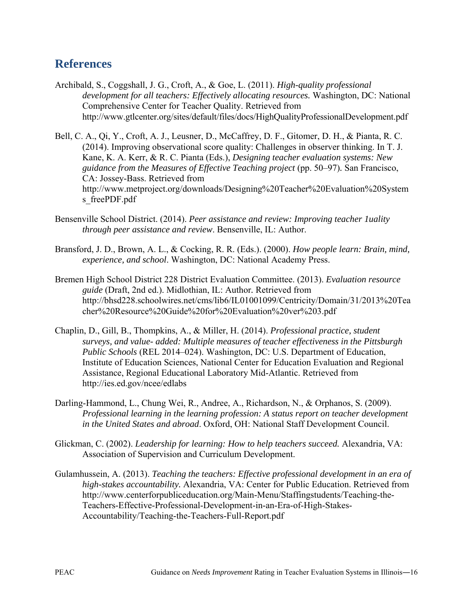## **References**

- Archibald, S., Coggshall, J. G., Croft, A., & Goe, L. (2011). *High-quality professional development for all teachers: Effectively allocating resources.* Washington, DC: National Comprehensive Center for Teacher Quality. Retrieved from http://www.gtlcenter.org/sites/default/files/docs/HighQualityProfessionalDevelopment.pdf
- Bell, C. A., Qi, Y., Croft, A. J., Leusner, D., McCaffrey, D. F., Gitomer, D. H., & Pianta, R. C. (2014). Improving observational score quality: Challenges in observer thinking. In T. J. Kane, K. A. Kerr, & R. C. Pianta (Eds.), *Designing teacher evaluation systems: New guidance from the Measures of Effective Teaching project* (pp. 50–97)*.* San Francisco, CA: Jossey-Bass. Retrieved from http://www.metproject.org/downloads/Designing%20Teacher%20Evaluation%20System s freePDF.pdf
- Bensenville School District. (2014). *Peer assistance and review: Improving teacher 1uality through peer assistance and review*. Bensenville, IL: Author.
- Bransford, J. D., Brown, A. L., & Cocking, R. R. (Eds.). (2000). *How people learn: Brain, mind, experience, and school*. Washington, DC: National Academy Press.
- Bremen High School District 228 District Evaluation Committee. (2013). *Evaluation resource guide* (Draft, 2nd ed.). Midlothian, IL: Author*.* Retrieved from http://bhsd228.schoolwires.net/cms/lib6/IL01001099/Centricity/Domain/31/2013%20Tea cher%20Resource%20Guide%20for%20Evaluation%20ver%203.pdf
- Chaplin, D., Gill, B., Thompkins, A., & Miller, H. (2014). *Professional practice, student surveys, and value- added: Multiple measures of teacher effectiveness in the Pittsburgh Public Schools* (REL 2014–024). Washington, DC: U.S. Department of Education, Institute of Education Sciences, National Center for Education Evaluation and Regional Assistance, Regional Educational Laboratory Mid-Atlantic. Retrieved from http://ies.ed.gov/ncee/edlabs
- Darling-Hammond, L., Chung Wei, R., Andree, A., Richardson, N., & Orphanos, S. (2009). *Professional learning in the learning profession: A status report on teacher development in the United States and abroad*. Oxford, OH: National Staff Development Council.
- Glickman, C. (2002). *Leadership for learning: How to help teachers succeed.* Alexandria, VA: Association of Supervision and Curriculum Development.
- Gulamhussein, A. (2013). *Teaching the teachers: Effective professional development in an era of high-stakes accountability.* Alexandria, VA: Center for Public Education. Retrieved from http://www.centerforpubliceducation.org/Main-Menu/Staffingstudents/Teaching-the-Teachers-Effective-Professional-Development-in-an-Era-of-High-Stakes-Accountability/Teaching-the-Teachers-Full-Report.pdf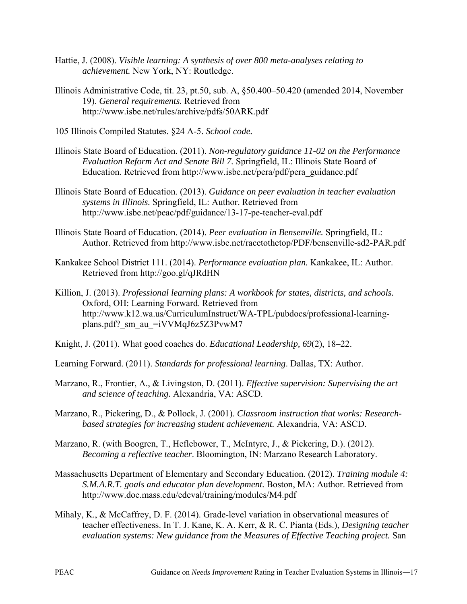- Hattie, J. (2008). *Visible learning: A synthesis of over 800 meta-analyses relating to achievement.* New York, NY: Routledge.
- Illinois Administrative Code, tit. 23, pt.50, sub. A, §50.400–50.420 (amended 2014, November 19). *General requirements.* Retrieved from http://www.isbe.net/rules/archive/pdfs/50ARK.pdf
- 105 Illinois Compiled Statutes. §24 A-5. *School code.*
- Illinois State Board of Education. (2011). *Non-regulatory guidance 11-02 on the Performance Evaluation Reform Act and Senate Bill 7.* Springfield, IL: Illinois State Board of Education. Retrieved from http://www.isbe.net/pera/pdf/pera\_guidance.pdf
- Illinois State Board of Education. (2013). *Guidance on peer evaluation in teacher evaluation systems in Illinois.* Springfield, IL: Author. Retrieved from http://www.isbe.net/peac/pdf/guidance/13-17-pe-teacher-eval.pdf
- Illinois State Board of Education. (2014). *Peer evaluation in Bensenville.* Springfield, IL: Author. Retrieved from http://www.isbe.net/racetothetop/PDF/bensenville-sd2-PAR.pdf
- Kankakee School District 111. (2014). *Performance evaluation plan.* Kankakee, IL: Author. Retrieved from http://goo.gl/qJRdHN
- Killion, J. (2013). *Professional learning plans: A workbook for states, districts, and schools.* Oxford, OH: Learning Forward. Retrieved from http://www.k12.wa.us/CurriculumInstruct/WA-TPL/pubdocs/professional-learningplans.pdf? sm\_au\_=iVVMqJ6z5Z3PvwM7
- Knight, J. (2011). What good coaches do. *Educational Leadership, 69*(2), 18–22.
- Learning Forward. (2011). *Standards for professional learning*. Dallas, TX: Author.
- Marzano, R., Frontier, A., & Livingston, D. (2011). *Effective supervision: Supervising the art and science of teaching.* Alexandria, VA: ASCD.
- Marzano, R., Pickering, D., & Pollock, J. (2001). *[Classroom instruction that works: Research](http://www.ascd.org/publications/books/111001.aspx)[based strategies for increasing student achievement.](http://www.ascd.org/publications/books/111001.aspx)* Alexandria, VA: ASCD.
- Marzano, R. (with Boogren, T., Heflebower, T., McIntyre, J., & Pickering, D.). (2012). *Becoming a reflective teacher*. Bloomington, IN: Marzano Research Laboratory.
- Massachusetts Department of Elementary and Secondary Education. (2012). *Training module 4: S.M.A.R.T. goals and educator plan development.* Boston, MA: Author. Retrieved from http://www.doe.mass.edu/edeval/training/modules/M4.pdf
- Mihaly, K., & McCaffrey, D. F. (2014). Grade-level variation in observational measures of teacher effectiveness. In T. J. Kane, K. A. Kerr, & R. C. Pianta (Eds.), *Designing teacher evaluation systems: New guidance from the Measures of Effective Teaching project.* San